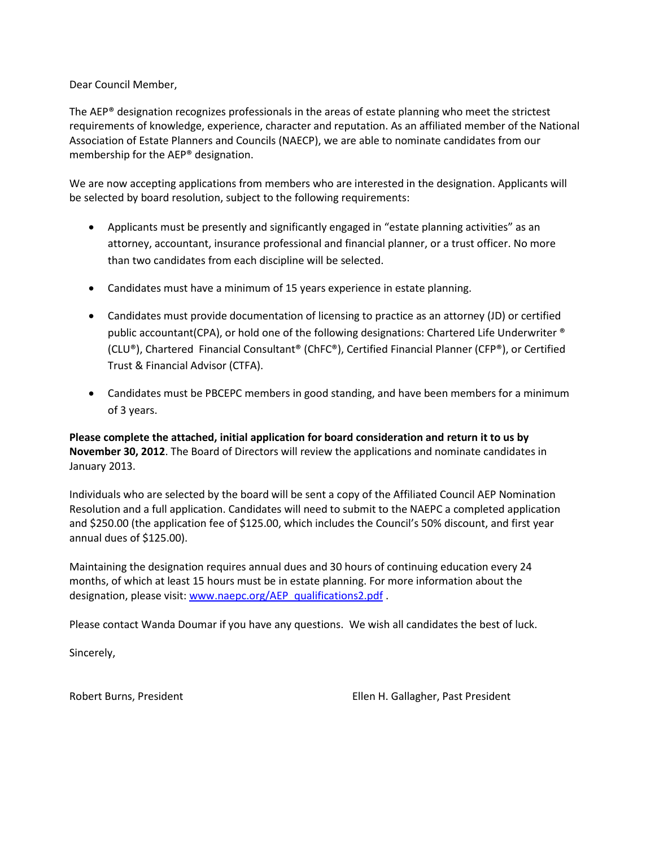Dear Council Member,

The AEP® designation recognizes professionals in the areas of estate planning who meet the strictest requirements of knowledge, experience, character and reputation. As an affiliated member of the National Association of Estate Planners and Councils (NAECP), we are able to nominate candidates from our membership for the AEP® designation.

We are now accepting applications from members who are interested in the designation. Applicants will be selected by board resolution, subject to the following requirements:

- Applicants must be presently and significantly engaged in "estate planning activities" as an attorney, accountant, insurance professional and financial planner, or a trust officer. No more than two candidates from each discipline will be selected.
- Candidates must have a minimum of 15 years experience in estate planning.
- Candidates must provide documentation of licensing to practice as an attorney (JD) or certified public accountant(CPA), or hold one of the following designations: Chartered Life Underwriter ® (CLU®), Chartered Financial Consultant® (ChFC®), Certified Financial Planner (CFP®), or Certified Trust & Financial Advisor (CTFA).
- Candidates must be PBCEPC members in good standing, and have been members for a minimum of 3 years.

**Please complete the attached, initial application for board consideration and return it to us by November 30, 2012**. The Board of Directors will review the applications and nominate candidates in January 2013.

Individuals who are selected by the board will be sent a copy of the Affiliated Council AEP Nomination Resolution and a full application. Candidates will need to submit to the NAEPC a completed application and \$250.00 (the application fee of \$125.00, which includes the Council's 50% discount, and first year annual dues of \$125.00).

Maintaining the designation requires annual dues and 30 hours of continuing education every 24 months, of which at least 15 hours must be in estate planning. For more information about the designation, please visit: [www.naepc.org/AEP\\_qualifications2.pdf](http://www.naepc.org/AEP_qualifications2.pdf).

Please contact Wanda Doumar if you have any questions. We wish all candidates the best of luck.

Sincerely,

Robert Burns, President Ellen H. Gallagher, Past President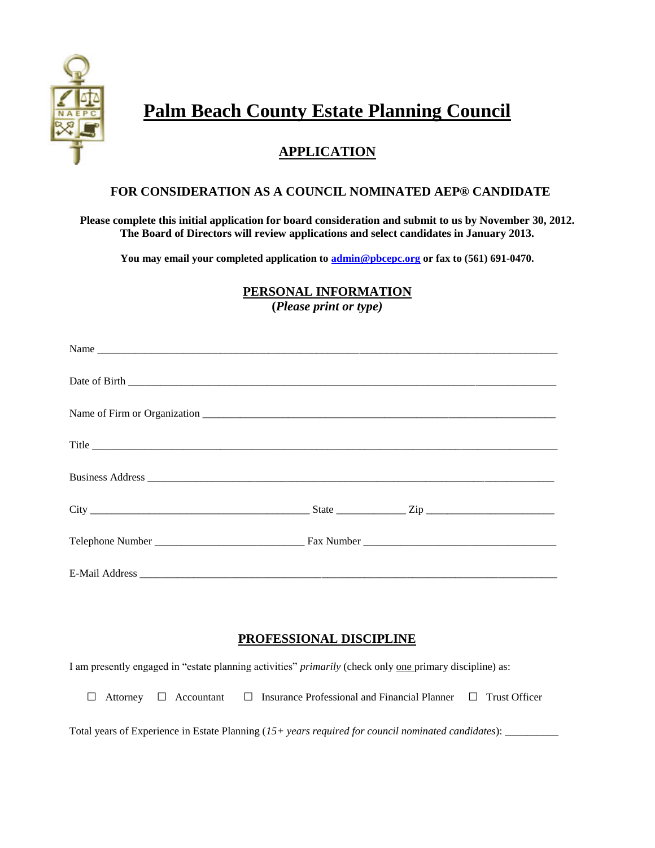

# **Palm Beach County Estate Planning Council**

# **APPLICATION**

## **FOR CONSIDERATION AS A COUNCIL NOMINATED AEP® CANDIDATE**

**Please complete this initial application for board consideration and submit to us by November 30, 2012. The Board of Directors will review applications and select candidates in January 2013.**

**You may email your completed application to [admin@pbcepc.org](mailto:admin@pbcepc.org) or fax to (561) 691-0470.**

**PERSONAL INFORMATION** 

**(***Please print or type)*

# **PROFESSIONAL DISCIPLINE**

I am presently engaged in "estate planning activities" *primarily* (check only one primary discipline) as:

|  |  | $\Box$ Attorney $\Box$ Accountant $\Box$ Insurance Professional and Financial Planner $\Box$ Trust Officer |  |
|--|--|------------------------------------------------------------------------------------------------------------|--|
|--|--|------------------------------------------------------------------------------------------------------------|--|

Total years of Experience in Estate Planning (*15+ years required for council nominated candidates*): \_\_\_\_\_\_\_\_\_\_